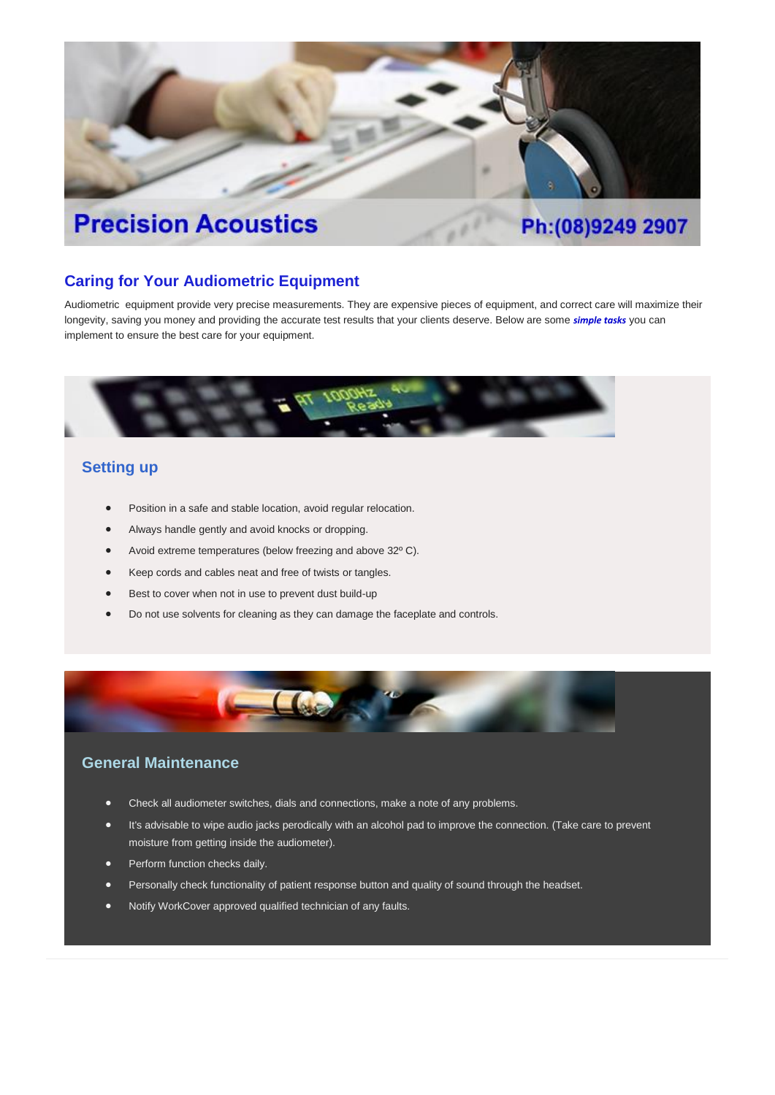# **Precision Acoustics**

# Ph:(08)9249 2907

#### **Caring for Your Audiometric Equipment**

Audiometric equipment provide very precise measurements. They are expensive pieces of equipment, and correct care will maximize their longevity, saving you money and providing the accurate test results that your clients deserve. Below are some *simple tasks* you can implement to ensure the best care for your equipment.



## **Setting up**

- Position in a safe and stable location, avoid regular relocation.
- Always handle gently and avoid knocks or dropping.
- Avoid extreme temperatures (below freezing and above 32º C).
- Keep cords and cables neat and free of twists or tangles.
- Best to cover when not in use to prevent dust build-up
- Do not use solvents for cleaning as they can damage the faceplate and controls.



## **General Maintenance**

- Check all audiometer switches, dials and connections, make a note of any problems.
- It's advisable to wipe audio jacks perodically with an alcohol pad to improve the connection. (Take care to prevent moisture from getting inside the audiometer).
- Perform function checks daily.
- Personally check functionality of patient response button and quality of sound through the headset.
- Notify WorkCover approved qualified technician of any faults.